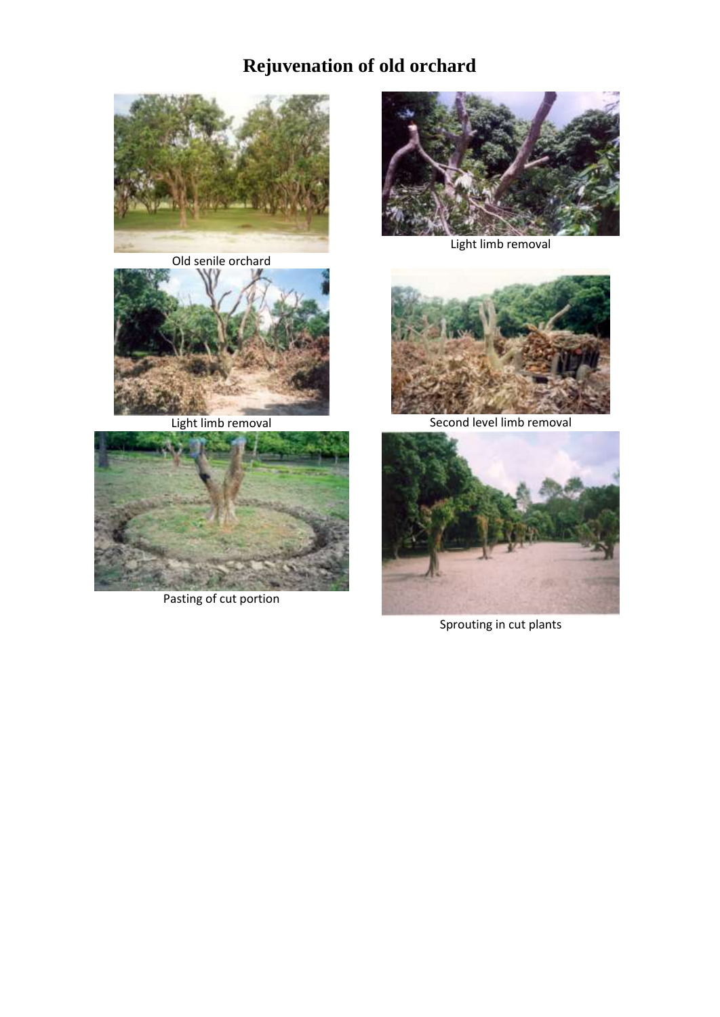# **Rejuvenation of old orchard**



Old senile orchard





Pasting of cut portion



Light limb removal



Light limb removal **Second level limb removal** 



Sprouting in cut plants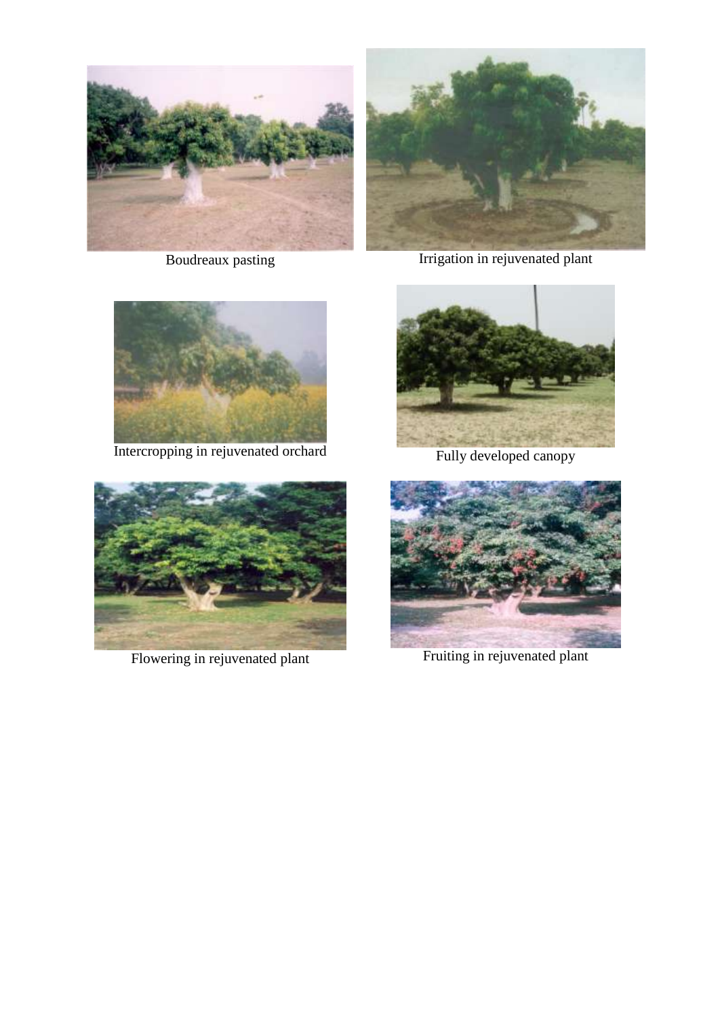



Boudreaux pasting Irrigation in rejuvenated plant



Intercropping in rejuvenated orchard Fully developed canopy



Flowering in rejuvenated plant Fruiting in rejuvenated plant



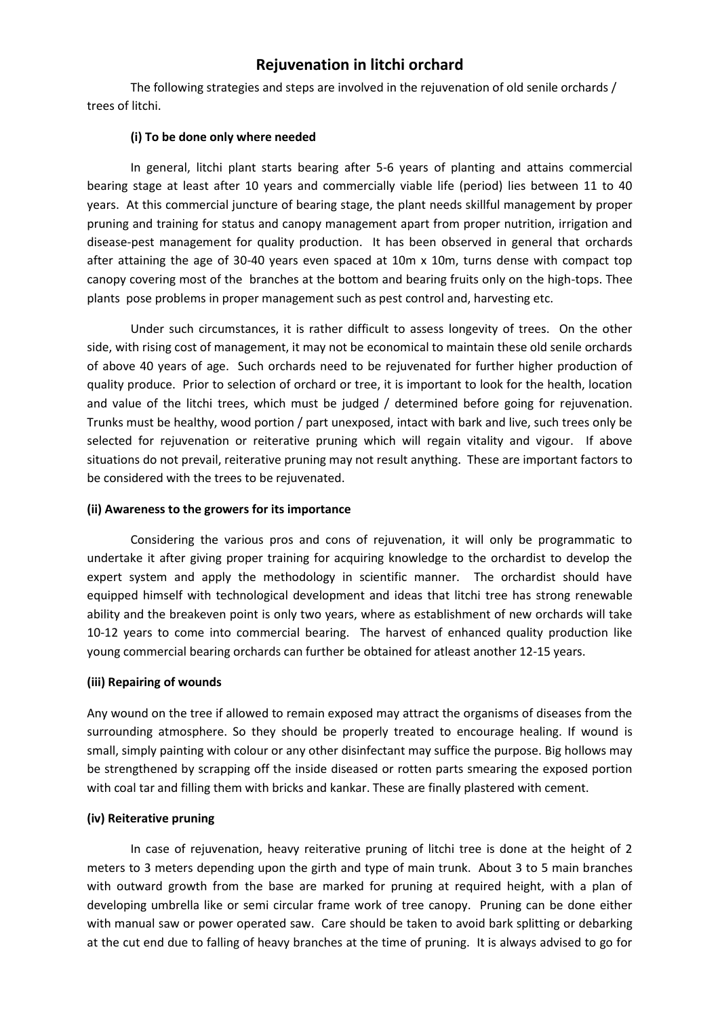# **Rejuvenation in litchi orchard**

The following strategies and steps are involved in the rejuvenation of old senile orchards / trees of litchi.

#### **(i) To be done only where needed**

In general, litchi plant starts bearing after 5-6 years of planting and attains commercial bearing stage at least after 10 years and commercially viable life (period) lies between 11 to 40 years. At this commercial juncture of bearing stage, the plant needs skillful management by proper pruning and training for status and canopy management apart from proper nutrition, irrigation and disease-pest management for quality production. It has been observed in general that orchards after attaining the age of 30-40 years even spaced at 10m x 10m, turns dense with compact top canopy covering most of the branches at the bottom and bearing fruits only on the high-tops. Thee plants pose problems in proper management such as pest control and, harvesting etc.

Under such circumstances, it is rather difficult to assess longevity of trees. On the other side, with rising cost of management, it may not be economical to maintain these old senile orchards of above 40 years of age. Such orchards need to be rejuvenated for further higher production of quality produce. Prior to selection of orchard or tree, it is important to look for the health, location and value of the litchi trees, which must be judged / determined before going for rejuvenation. Trunks must be healthy, wood portion / part unexposed, intact with bark and live, such trees only be selected for rejuvenation or reiterative pruning which will regain vitality and vigour. If above situations do not prevail, reiterative pruning may not result anything. These are important factors to be considered with the trees to be rejuvenated.

### **(ii) Awareness to the growers for its importance**

Considering the various pros and cons of rejuvenation, it will only be programmatic to undertake it after giving proper training for acquiring knowledge to the orchardist to develop the expert system and apply the methodology in scientific manner. The orchardist should have equipped himself with technological development and ideas that litchi tree has strong renewable ability and the breakeven point is only two years, where as establishment of new orchards will take 10-12 years to come into commercial bearing. The harvest of enhanced quality production like young commercial bearing orchards can further be obtained for atleast another 12-15 years.

#### **(iii) Repairing of wounds**

Any wound on the tree if allowed to remain exposed may attract the organisms of diseases from the surrounding atmosphere. So they should be properly treated to encourage healing. If wound is small, simply painting with colour or any other disinfectant may suffice the purpose. Big hollows may be strengthened by scrapping off the inside diseased or rotten parts smearing the exposed portion with coal tar and filling them with bricks and kankar. These are finally plastered with cement.

#### **(iv) Reiterative pruning**

In case of rejuvenation, heavy reiterative pruning of litchi tree is done at the height of 2 meters to 3 meters depending upon the girth and type of main trunk. About 3 to 5 main branches with outward growth from the base are marked for pruning at required height, with a plan of developing umbrella like or semi circular frame work of tree canopy. Pruning can be done either with manual saw or power operated saw. Care should be taken to avoid bark splitting or debarking at the cut end due to falling of heavy branches at the time of pruning. It is always advised to go for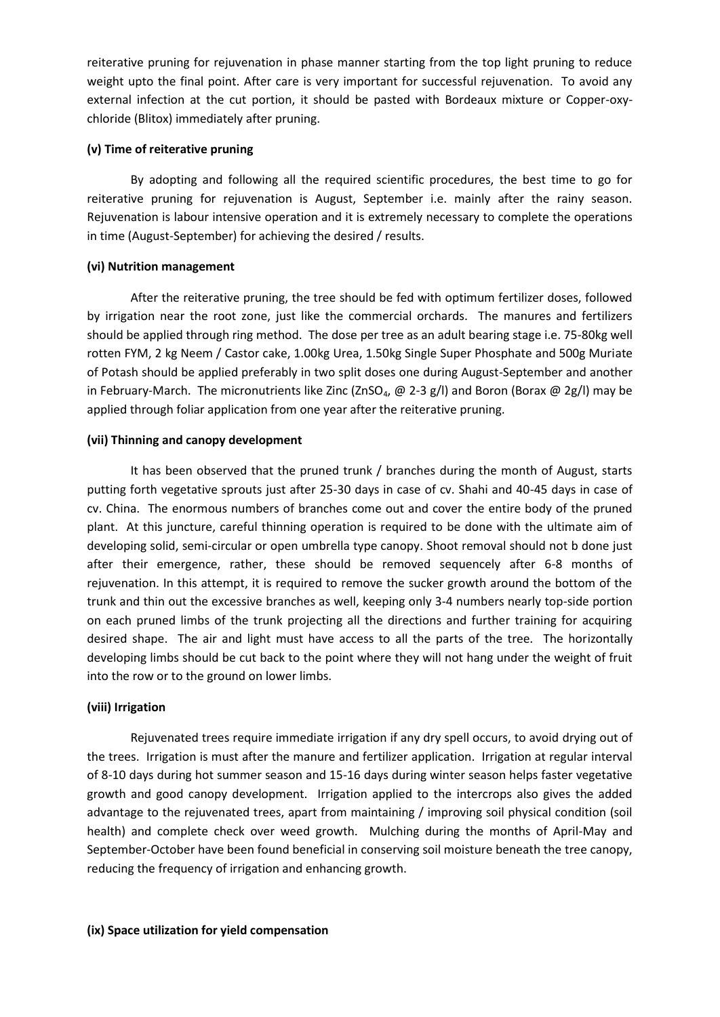reiterative pruning for rejuvenation in phase manner starting from the top light pruning to reduce weight upto the final point. After care is very important for successful rejuvenation. To avoid any external infection at the cut portion, it should be pasted with Bordeaux mixture or Copper-oxychloride (Blitox) immediately after pruning.

### **(v) Time of reiterative pruning**

By adopting and following all the required scientific procedures, the best time to go for reiterative pruning for rejuvenation is August, September i.e. mainly after the rainy season. Rejuvenation is labour intensive operation and it is extremely necessary to complete the operations in time (August-September) for achieving the desired / results.

## **(vi) Nutrition management**

After the reiterative pruning, the tree should be fed with optimum fertilizer doses, followed by irrigation near the root zone, just like the commercial orchards. The manures and fertilizers should be applied through ring method. The dose per tree as an adult bearing stage i.e. 75-80kg well rotten FYM, 2 kg Neem / Castor cake, 1.00kg Urea, 1.50kg Single Super Phosphate and 500g Muriate of Potash should be applied preferably in two split doses one during August-September and another in February-March. The micronutrients like Zinc (ZnSO<sub>4</sub>, @ 2-3 g/l) and Boron (Borax @ 2g/l) may be applied through foliar application from one year after the reiterative pruning.

## **(vii) Thinning and canopy development**

It has been observed that the pruned trunk / branches during the month of August, starts putting forth vegetative sprouts just after 25-30 days in case of cv. Shahi and 40-45 days in case of cv. China. The enormous numbers of branches come out and cover the entire body of the pruned plant. At this juncture, careful thinning operation is required to be done with the ultimate aim of developing solid, semi-circular or open umbrella type canopy. Shoot removal should not b done just after their emergence, rather, these should be removed sequencely after 6-8 months of rejuvenation. In this attempt, it is required to remove the sucker growth around the bottom of the trunk and thin out the excessive branches as well, keeping only 3-4 numbers nearly top-side portion on each pruned limbs of the trunk projecting all the directions and further training for acquiring desired shape. The air and light must have access to all the parts of the tree. The horizontally developing limbs should be cut back to the point where they will not hang under the weight of fruit into the row or to the ground on lower limbs.

## **(viii) Irrigation**

Rejuvenated trees require immediate irrigation if any dry spell occurs, to avoid drying out of the trees. Irrigation is must after the manure and fertilizer application. Irrigation at regular interval of 8-10 days during hot summer season and 15-16 days during winter season helps faster vegetative growth and good canopy development. Irrigation applied to the intercrops also gives the added advantage to the rejuvenated trees, apart from maintaining / improving soil physical condition (soil health) and complete check over weed growth. Mulching during the months of April-May and September-October have been found beneficial in conserving soil moisture beneath the tree canopy, reducing the frequency of irrigation and enhancing growth.

### **(ix) Space utilization for yield compensation**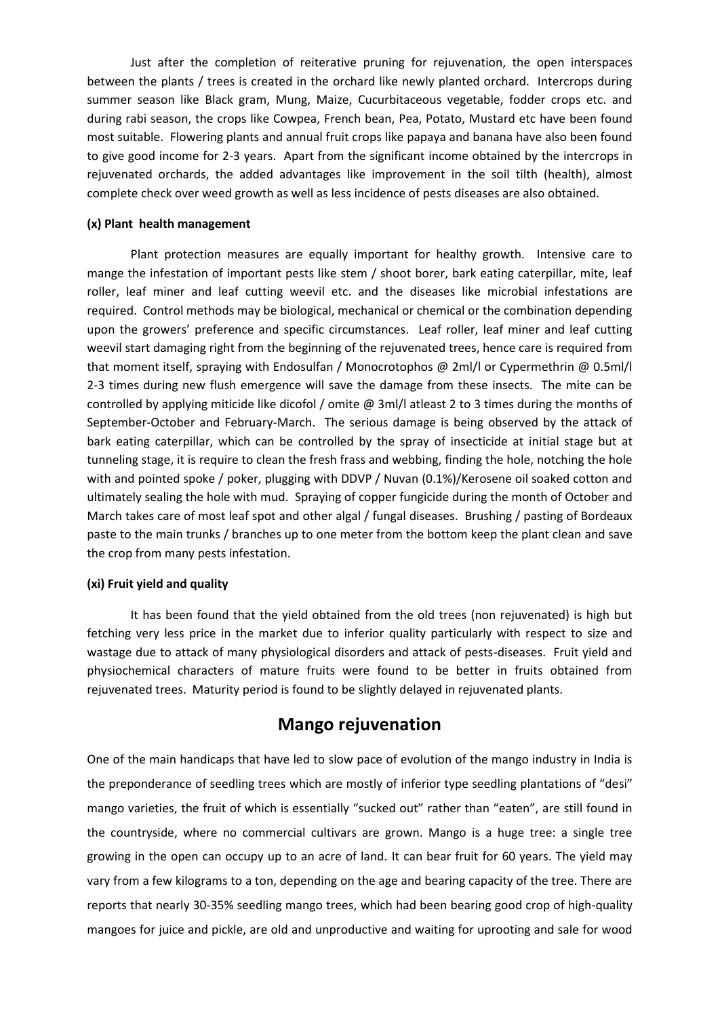Just after the completion of reiterative pruning for rejuvenation, the open interspaces between the plants / trees is created in the orchard like newly planted orchard. Intercrops during summer season like Black gram, Mung, Maize, Cucurbitaceous vegetable, fodder crops etc. and during rabi season, the crops like Cowpea, French bean, Pea, Potato, Mustard etc have been found most suitable. Flowering plants and annual fruit crops like papaya and banana have also been found to give good income for 2-3 years. Apart from the significant income obtained by the intercrops in rejuvenated orchards, the added advantages like improvement in the soil tilth (health), almost complete check over weed growth as well as less incidence of pests diseases are also obtained.

#### **(x) Plant health management**

Plant protection measures are equally important for healthy growth. Intensive care to mange the infestation of important pests like stem / shoot borer, bark eating caterpillar, mite, leaf roller, leaf miner and leaf cutting weevil etc. and the diseases like microbial infestations are required. Control methods may be biological, mechanical or chemical or the combination depending upon the growers' preference and specific circumstances. Leaf roller, leaf miner and leaf cutting weevil start damaging right from the beginning of the rejuvenated trees, hence care is required from that moment itself, spraying with Endosulfan / Monocrotophos @ 2ml/l or Cypermethrin @ 0.5ml/l 2-3 times during new flush emergence will save the damage from these insects. The mite can be controlled by applying miticide like dicofol / omite @ 3ml/l atleast 2 to 3 times during the months of September-October and February-March. The serious damage is being observed by the attack of bark eating caterpillar, which can be controlled by the spray of insecticide at initial stage but at tunneling stage, it is require to clean the fresh frass and webbing, finding the hole, notching the hole with and pointed spoke / poker, plugging with DDVP / Nuvan (0.1%)/Kerosene oil soaked cotton and ultimately sealing the hole with mud. Spraying of copper fungicide during the month of October and March takes care of most leaf spot and other algal / fungal diseases. Brushing / pasting of Bordeaux paste to the main trunks / branches up to one meter from the bottom keep the plant clean and save the crop from many pests infestation.

#### **(xi) Fruit yield and quality**

It has been found that the yield obtained from the old trees (non rejuvenated) is high but fetching very less price in the market due to inferior quality particularly with respect to size and wastage due to attack of many physiological disorders and attack of pests-diseases. Fruit yield and physiochemical characters of mature fruits were found to be better in fruits obtained from rejuvenated trees. Maturity period is found to be slightly delayed in rejuvenated plants.

## **Mango rejuvenation**

One of the main handicaps that have led to slow pace of evolution of the mango industry in India is the preponderance of seedling trees which are mostly of inferior type seedling plantations of "desi" mango varieties, the fruit of which is essentially "sucked out" rather than "eaten", are still found in the countryside, where no commercial cultivars are grown. Mango is a huge tree: a single tree growing in the open can occupy up to an acre of land. It can bear fruit for 60 years. The yield may vary from a few kilograms to a ton, depending on the age and bearing capacity of the tree. There are reports that nearly 30-35% seedling mango trees, which had been bearing good crop of high-quality mangoes for juice and pickle, are old and unproductive and waiting for uprooting and sale for wood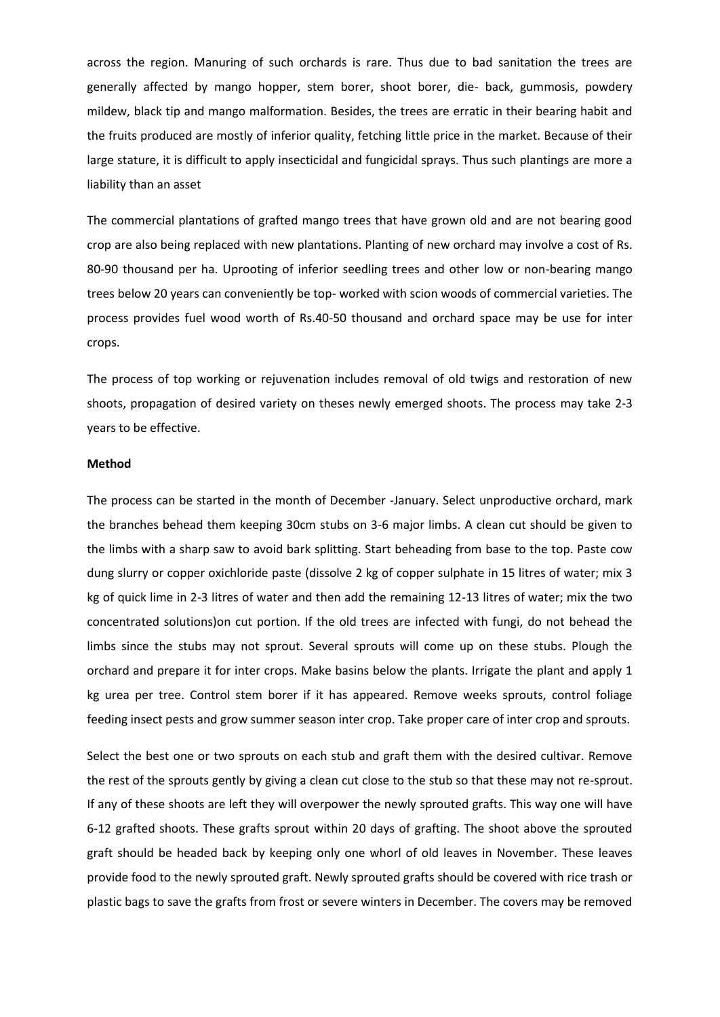across the region. Manuring of such orchards is rare. Thus due to bad sanitation the trees are generally affected by mango hopper, stem borer, shoot borer, die- back, gummosis, powdery mildew, black tip and mango malformation. Besides, the trees are erratic in their bearing habit and the fruits produced are mostly of inferior quality, fetching little price in the market. Because of their large stature, it is difficult to apply insecticidal and fungicidal sprays. Thus such plantings are more a liability than an asset

The commercial plantations of grafted mango trees that have grown old and are not bearing good crop are also being replaced with new plantations. Planting of new orchard may involve a cost of Rs. 80-90 thousand per ha. Uprooting of inferior seedling trees and other low or non-bearing mango trees below 20 years can conveniently be top- worked with scion woods of commercial varieties. The process provides fuel wood worth of Rs.40-50 thousand and orchard space may be use for inter crops.

The process of top working or rejuvenation includes removal of old twigs and restoration of new shoots, propagation of desired variety on theses newly emerged shoots. The process may take 2-3 years to be effective.

#### **Method**

The process can be started in the month of December -January. Select unproductive orchard, mark the branches behead them keeping 30cm stubs on 3-6 major limbs. A clean cut should be given to the limbs with a sharp saw to avoid bark splitting. Start beheading from base to the top. Paste cow dung slurry or copper oxichloride paste (dissolve 2 kg of copper sulphate in 15 litres of water; mix 3 kg of quick lime in 2-3 litres of water and then add the remaining 12-13 litres of water; mix the two concentrated solutions)on cut portion. If the old trees are infected with fungi, do not behead the limbs since the stubs may not sprout. Several sprouts will come up on these stubs. Plough the orchard and prepare it for inter crops. Make basins below the plants. Irrigate the plant and apply 1 kg urea per tree. Control stem borer if it has appeared. Remove weeks sprouts, control foliage feeding insect pests and grow summer season inter crop. Take proper care of inter crop and sprouts.

Select the best one or two sprouts on each stub and graft them with the desired cultivar. Remove the rest of the sprouts gently by giving a clean cut close to the stub so that these may not re-sprout. If any of these shoots are left they will overpower the newly sprouted grafts. This way one will have 6-12 grafted shoots. These grafts sprout within 20 days of grafting. The shoot above the sprouted graft should be headed back by keeping only one whorl of old leaves in November. These leaves provide food to the newly sprouted graft. Newly sprouted grafts should be covered with rice trash or plastic bags to save the grafts from frost or severe winters in December. The covers may be removed